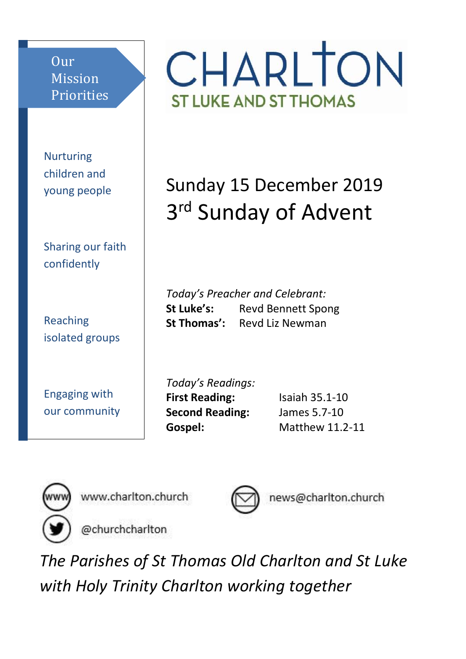Our Mission Priorities

Nurturing children and young people

Sharing our faith confidently

Reaching isolated groups

Engaging with our community CHARLTON **ST LUKE AND ST THOMAS** 

Sunday 15 December 2019 3<sup>rd</sup> Sunday of Advent

*Today's Preacher and Celebrant:* **St Luke's:** Revd Bennett Spong **St Thomas':** Revd Liz Newman

*Today's Readings:* **First Reading:** Isaiah 35.1-10 **Second Reading:** James 5.7-10 **Gospel:** Matthew 11.2-11



www.charlton.church



news@charlton.church

@churchcharlton

*The Parishes of St Thomas Old Charlton and St Luke with Holy Trinity Charlton working together*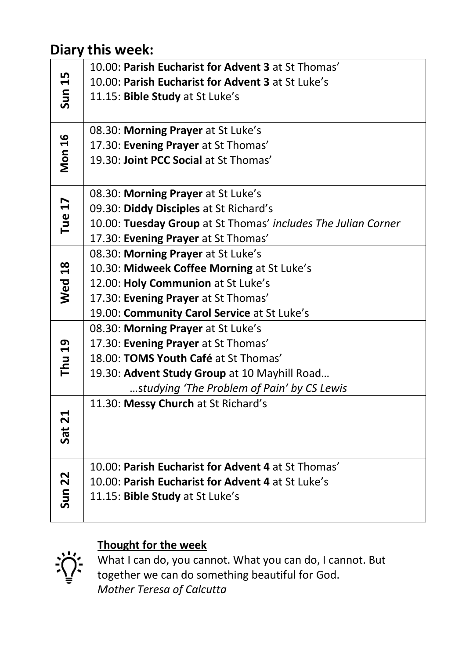#### **Diary this week:**

| Sun 15            | 10.00: Parish Eucharist for Advent 3 at St Thomas'            |
|-------------------|---------------------------------------------------------------|
|                   | 10.00: Parish Eucharist for Advent 3 at St Luke's             |
|                   | 11.15: Bible Study at St Luke's                               |
|                   |                                                               |
| <b>Mon 16</b>     | 08.30: Morning Prayer at St Luke's                            |
|                   | 17.30: Evening Prayer at St Thomas'                           |
|                   | 19.30: Joint PCC Social at St Thomas'                         |
|                   |                                                               |
| Tue 17            | 08.30: Morning Prayer at St Luke's                            |
|                   | 09.30: Diddy Disciples at St Richard's                        |
|                   | 10.00: Tuesday Group at St Thomas' includes The Julian Corner |
|                   | 17.30: Evening Prayer at St Thomas'                           |
| <b>Wed 18</b>     | 08.30: Morning Prayer at St Luke's                            |
|                   | 10.30: Midweek Coffee Morning at St Luke's                    |
|                   | 12.00: Holy Communion at St Luke's                            |
|                   | 17.30: Evening Prayer at St Thomas'                           |
|                   | 19.00: Community Carol Service at St Luke's                   |
| Thu 19            | 08.30: Morning Prayer at St Luke's                            |
|                   | 17.30: Evening Prayer at St Thomas'                           |
|                   | 18.00: TOMS Youth Café at St Thomas'                          |
|                   | 19.30: Advent Study Group at 10 Mayhill Road                  |
|                   | studying 'The Problem of Pain' by CS Lewis                    |
|                   | 11.30: Messy Church at St Richard's                           |
|                   |                                                               |
| Sat 21            |                                                               |
|                   |                                                               |
| Sun <sub>22</sub> | 10.00: Parish Eucharist for Advent 4 at St Thomas'            |
|                   | 10.00: Parish Eucharist for Advent 4 at St Luke's             |
|                   | 11.15: Bible Study at St Luke's                               |
|                   |                                                               |

#### **Thought for the week**



What I can do, you cannot. What you can do, I cannot. But together we can do something beautiful for God. *Mother Teresa of Calcutta*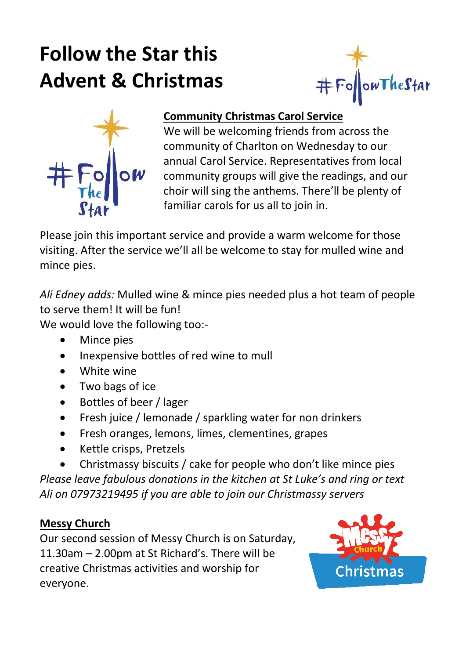# **Follow the Star this Advent & Christmas**





#### **Community Christmas Carol Service**

We will be welcoming friends from across the community of Charlton on Wednesday to our annual Carol Service. Representatives from local community groups will give the readings, and our choir will sing the anthems. There'll be plenty of familiar carols for us all to join in.

Please join this important service and provide a warm welcome for those visiting. After the service we'll all be welcome to stay for mulled wine and mince pies.

*Ali Edney adds:* Mulled wine & mince pies needed plus a hot team of people to serve them! It will be fun!

We would love the following too:-

- Mince pies
- Inexpensive bottles of red wine to mull
- White wine
- Two bags of ice
- Bottles of beer / lager
- Fresh juice / lemonade / sparkling water for non drinkers
- Fresh oranges, lemons, limes, clementines, grapes
- Kettle crisps, Pretzels

• Christmassy biscuits / cake for people who don't like mince pies *Please leave fabulous donations in the kitchen at St Luke's and ring or text Ali on 07973219495 if you are able to join our Christmassy servers*

#### **Messy Church**

Our second session of Messy Church is on Saturday, 11.30am – 2.00pm at St Richard's. There will be creative Christmas activities and worship for everyone.

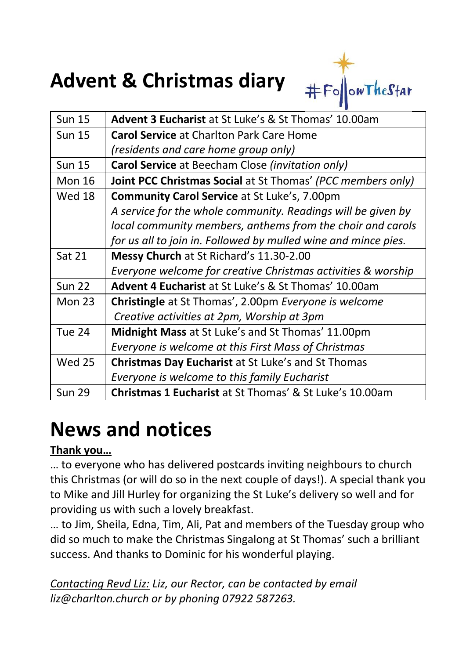## **Advent & Christmas diary**



| <b>Sun 15</b> | Advent 3 Eucharist at St Luke's & St Thomas' 10.00am           |
|---------------|----------------------------------------------------------------|
| <b>Sun 15</b> | <b>Carol Service at Charlton Park Care Home</b>                |
|               | (residents and care home group only)                           |
| <b>Sun 15</b> | Carol Service at Beecham Close (invitation only)               |
| <b>Mon 16</b> | Joint PCC Christmas Social at St Thomas' (PCC members only)    |
| Wed 18        | <b>Community Carol Service at St Luke's, 7.00pm</b>            |
|               | A service for the whole community. Readings will be given by   |
|               | local community members, anthems from the choir and carols     |
|               | for us all to join in. Followed by mulled wine and mince pies. |
| <b>Sat 21</b> | Messy Church at St Richard's 11.30-2.00                        |
|               | Everyone welcome for creative Christmas activities & worship   |
| <b>Sun 22</b> | <b>Advent 4 Eucharist</b> at St Luke's & St Thomas' 10.00am    |
| Mon $23$      | <b>Christingle</b> at St Thomas', 2.00pm Everyone is welcome   |
|               | Creative activities at 2pm, Worship at 3pm                     |
| <b>Tue 24</b> | Midnight Mass at St Luke's and St Thomas' 11.00pm              |
|               | Everyone is welcome at this First Mass of Christmas            |
| <b>Wed 25</b> | <b>Christmas Day Eucharist at St Luke's and St Thomas</b>      |
|               | Everyone is welcome to this family Eucharist                   |
| <b>Sun 29</b> | <b>Christmas 1 Eucharist</b> at St Thomas' & St Luke's 10.00am |

### **News and notices**

#### **Thank you…**

… to everyone who has delivered postcards inviting neighbours to church this Christmas (or will do so in the next couple of days!). A special thank you to Mike and Jill Hurley for organizing the St Luke's delivery so well and for providing us with such a lovely breakfast.

… to Jim, Sheila, Edna, Tim, Ali, Pat and members of the Tuesday group who did so much to make the Christmas Singalong at St Thomas' such a brilliant success. And thanks to Dominic for his wonderful playing.

*Contacting Revd Liz: Liz, our Rector, can be contacted by email liz@charlton.church or by phoning 07922 587263.*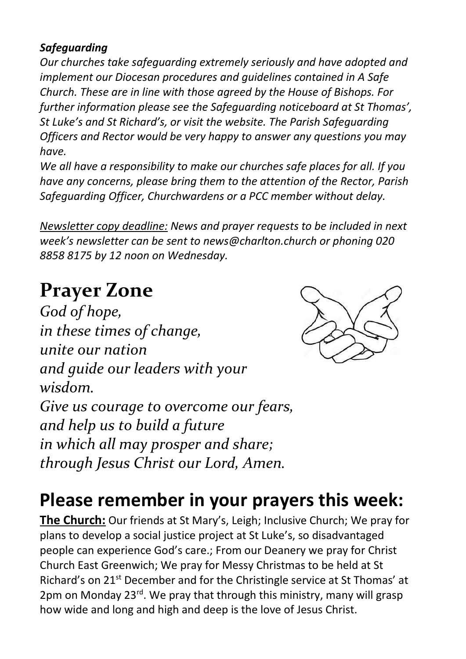#### *Safeguarding*

*Our churches take safeguarding extremely seriously and have adopted and implement our Diocesan procedures and guidelines contained in A Safe Church. These are in line with those agreed by the House of Bishops. For further information please see the Safeguarding noticeboard at St Thomas', St Luke's and St Richard's, or visit the website. The Parish Safeguarding Officers and Rector would be very happy to answer any questions you may have.*

*We all have a responsibility to make our churches safe places for all. If you have any concerns, please bring them to the attention of the Rector, Parish Safeguarding Officer, Churchwardens or a PCC member without delay.*

*Newsletter copy deadline: News and prayer requests to be included in next week's newsletter can be sent to news@charlton.church or phoning 020 8858 8175 by 12 noon on Wednesday.*

### **Prayer Zone**

*God of hope, in these times of change, unite our nation and guide our leaders with your wisdom. Give us courage to overcome our fears, and help us to build a future in which all may prosper and share; through Jesus Christ our Lord, Amen.*



### **Please remember in your prayers this week:**

**The Church:** Our friends at St Mary's, Leigh; Inclusive Church; We pray for plans to develop a social justice project at St Luke's, so disadvantaged people can experience God's care.; From our Deanery we pray for Christ Church East Greenwich; We pray for Messy Christmas to be held at St Richard's on 21<sup>st</sup> December and for the Christingle service at St Thomas' at 2pm on Monday 23<sup>rd</sup>. We pray that through this ministry, many will grasp how wide and long and high and deep is the love of Jesus Christ.